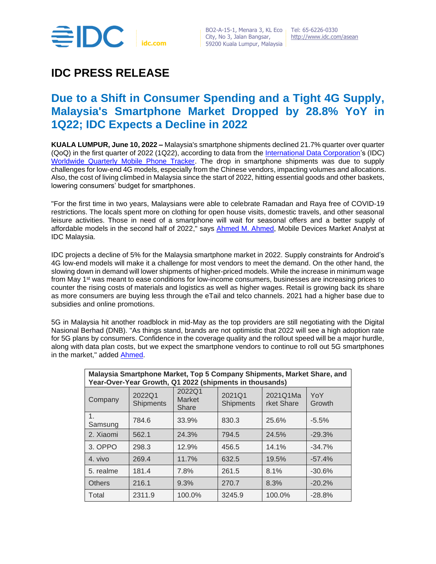

# **IDC PRESS RELEASE**

## **Due to a Shift in Consumer Spending and a Tight 4G Supply, Malaysia's Smartphone Market Dropped by 28.8% YoY in 1Q22; IDC Expects a Decline in 2022**

**KUALA LUMPUR, June 10, 2022 –** Malaysia's smartphone shipments declined 21.7% quarter over quarter (QoQ) in the first quarter of 2022 (1Q22), according to data from the [International Data Corporation's](https://www.idc.com/asean) (IDC) [Worldwide Quarterly Mobile Phone Tracker.](https://www.idc.com/getdoc.jsp?containerId=IDC_P8397) The drop in smartphone shipments was due to supply challenges for low-end 4G models, especially from the Chinese vendors, impacting volumes and allocations. Also, the cost of living climbed in Malaysia since the start of 2022, hitting essential goods and other baskets, lowering consumers' budget for smartphones.

"For the first time in two years, Malaysians were able to celebrate Ramadan and Raya free of COVID-19 restrictions. The locals spent more on clothing for open house visits, domestic travels, and other seasonal leisure activities. Those in need of a smartphone will wait for seasonal offers and a better supply of affordable models in the second half of 2022," says [Ahmed M. Ahmed,](https://www.idc.com/getdoc.jsp?containerId=PRF005242) Mobile Devices Market Analyst at IDC Malaysia.

IDC projects a decline of 5% for the Malaysia smartphone market in 2022. Supply constraints for Android's 4G low-end models will make it a challenge for most vendors to meet the demand. On the other hand, the slowing down in demand will lower shipments of higher-priced models. While the increase in minimum wage from May 1<sup>st</sup> was meant to ease conditions for low-income consumers, businesses are increasing prices to counter the rising costs of materials and logistics as well as higher wages. Retail is growing back its share as more consumers are buying less through the eTail and telco channels. 2021 had a higher base due to subsidies and online promotions.

5G in Malaysia hit another roadblock in mid-May as the top providers are still negotiating with the Digital Nasional Berhad (DNB). "As things stand, brands are not optimistic that 2022 will see a high adoption rate for 5G plans by consumers. Confidence in the coverage quality and the rollout speed will be a major hurdle, along with data plan costs, but we expect the smartphone vendors to continue to roll out 5G smartphones in the market," added [Ahmed.](https://www.idc.com/getdoc.jsp?containerId=PRF005242)

| Malaysia Smartphone Market, Top 5 Company Shipments, Market Share, and<br>Year-Over-Year Growth, Q1 2022 (shipments in thousands) |                            |                                  |                            |                        |               |  |  |
|-----------------------------------------------------------------------------------------------------------------------------------|----------------------------|----------------------------------|----------------------------|------------------------|---------------|--|--|
| Company                                                                                                                           | 2022Q1<br><b>Shipments</b> | 2022Q1<br><b>Market</b><br>Share | 2021Q1<br><b>Shipments</b> | 2021Q1Ma<br>rket Share | YoY<br>Growth |  |  |
| 1.<br>Samsung                                                                                                                     | 784.6                      | 33.9%                            | 830.3                      | 25.6%                  | $-5.5%$       |  |  |
| 2. Xiaomi                                                                                                                         | 562.1                      | 24.3%                            | 794.5                      | 24.5%                  | $-29.3%$      |  |  |
| 3. OPPO                                                                                                                           | 298.3                      | 12.9%                            | 456.5                      | 14.1%                  | $-34.7%$      |  |  |
| 4. vivo                                                                                                                           | 269.4                      | 11.7%                            | 632.5                      | 19.5%                  | $-57.4%$      |  |  |
| 5. realme                                                                                                                         | 181.4                      | 7.8%                             | 261.5                      | 8.1%                   | $-30.6%$      |  |  |
| <b>Others</b>                                                                                                                     | 216.1                      | 9.3%                             | 270.7                      | 8.3%                   | $-20.2%$      |  |  |
| Total                                                                                                                             | 2311.9                     | 100.0%                           | 3245.9                     | 100.0%                 | $-28.8%$      |  |  |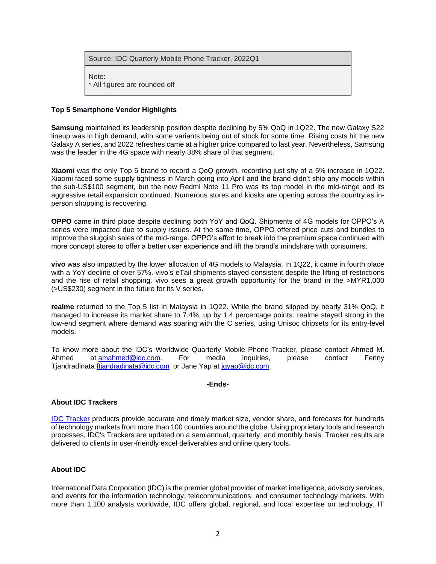| Source: IDC Quarterly Mobile Phone Tracker, 2022Q1 |  |
|----------------------------------------------------|--|
|                                                    |  |

Note: \* All figures are rounded off

## **Top 5 Smartphone Vendor Highlights**

**Samsung** maintained its leadership position despite declining by 5% QoQ in 1Q22. The new Galaxy S22 lineup was in high demand, with some variants being out of stock for some time. Rising costs hit the new Galaxy A series, and 2022 refreshes came at a higher price compared to last year. Nevertheless, Samsung was the leader in the 4G space with nearly 38% share of that segment.

**Xiaomi** was the only Top 5 brand to record a QoQ growth, recording just shy of a 5% increase in 1Q22. Xiaomi faced some supply tightness in March going into April and the brand didn't ship any models within the sub-US\$100 segment, but the new Redmi Note 11 Pro was its top model in the mid-range and its aggressive retail expansion continued. Numerous stores and kiosks are opening across the country as inperson shopping is recovering.

**OPPO** came in third place despite declining both YoY and QoQ. Shipments of 4G models for OPPO's A series were impacted due to supply issues. At the same time, OPPO offered price cuts and bundles to improve the sluggish sales of the mid-range. OPPO's effort to break into the premium space continued with more concept stores to offer a better user experience and lift the brand's mindshare with consumers.

**vivo** was also impacted by the lower allocation of 4G models to Malaysia. In 1Q22, it came in fourth place with a YoY decline of over 57%. vivo's eTail shipments stayed consistent despite the lifting of restrictions and the rise of retail shopping. vivo sees a great growth opportunity for the brand in the >MYR1,000 (>US\$230) segment in the future for its V series.

**realme** returned to the Top 5 list in Malaysia in 1Q22. While the brand slipped by nearly 31% QoQ, it managed to increase its market share to 7.4%, up by 1.4 percentage points. realme stayed strong in the low-end segment where demand was soaring with the C series, using Unisoc chipsets for its entry-level models.

To know more about the IDC's Worldwide Quarterly Mobile Phone Tracker, please contact Ahmed M. Ahmed at [amahmed@idc.com.](mailto:amahmed@idc.com) For media inquiries, please contact Fenny Tjandradinata [ftjandradinata@idc.com](mailto:ftjandradinata@idc.com) or Jane Yap at [jqyap@idc.com.](mailto:jqyap@idc.com)

#### **-Ends-**

## **About IDC Trackers**

[IDC Tracker](http://www.idc.com/tracker/showtrackerhome.jsp) products provide accurate and timely market size, vendor share, and forecasts for hundreds of technology markets from more than 100 countries around the globe. Using proprietary tools and research processes, IDC's Trackers are updated on a semiannual, quarterly, and monthly basis. Tracker results are delivered to clients in user-friendly excel deliverables and online query tools.

## **About IDC**

International Data Corporation (IDC) is the premier global provider of market intelligence, advisory services, and events for the information technology, telecommunications, and consumer technology markets. With more than 1,100 analysts worldwide, IDC offers global, regional, and local expertise on technology, IT